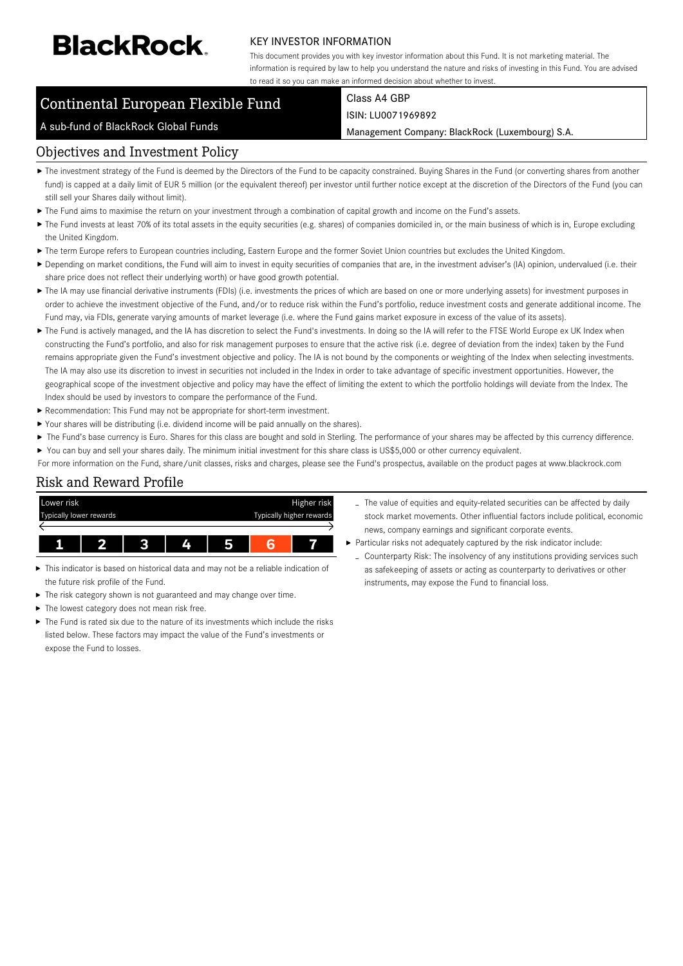# **BlackRock**

#### KEY INVESTOR INFORMATION

This document provides you with key investor information about this Fund. It is not marketing material. The information is required by law to help you understand the nature and risks of investing in this Fund. You are advised to read it so you can make an informed decision about whether to invest.

Management Company: BlackRock (Luxembourg) S.A.

# Continental European Flexible Fund

#### Class A4 GBP ISIN: LU0071969892

#### A sub-fund of BlackRock Global Funds

#### Objectives and Investment Policy

- ▶ The investment strategy of the Fund is deemed by the Directors of the Fund to be capacity constrained. Buying Shares in the Fund (or converting shares from another fund) is capped at a daily limit of EUR 5 million (or the equivalent thereof) per investor until further notice except at the discretion of the Directors of the Fund (you can still sell your Shares daily without limit).
- The Fund aims to maximise the return on your investment through a combination of capital growth and income on the Fund's assets.
- ▶ The Fund invests at least 70% of its total assets in the equity securities (e.g. shares) of companies domiciled in, or the main business of which is in, Europe excluding the United Kingdom.
- ▶ The term Europe refers to European countries including, Eastern Europe and the former Soviet Union countries but excludes the United Kingdom.
- ▶ Depending on market conditions, the Fund will aim to invest in equity securities of companies that are, in the investment adviser's (IA) opinion, undervalued (i.e. their share price does not reflect their underlying worth) or have good growth potential.
- ▶ The IA may use financial derivative instruments (FDIs) (i.e. investments the prices of which are based on one or more underlying assets) for investment purposes in order to achieve the investment objective of the Fund, and/or to reduce risk within the Fund's portfolio, reduce investment costs and generate additional income. The Fund may, via FDIs, generate varying amounts of market leverage (i.e. where the Fund gains market exposure in excess of the value of its assets).
- ▶ The Fund is actively managed, and the IA has discretion to select the Fund's investments. In doing so the IA will refer to the FTSE World Europe ex UK Index when constructing the Fund's portfolio, and also for risk management purposes to ensure that the active risk (i.e. degree of deviation from the index) taken by the Fund remains appropriate given the Fund's investment objective and policy. The IA is not bound by the components or weighting of the Index when selecting investments. The IA may also use its discretion to invest in securities not included in the Index in order to take advantage of specific investment opportunities. However, the geographical scope of the investment objective and policy may have the effect of limiting the extent to which the portfolio holdings will deviate from the Index. The Index should be used by investors to compare the performance of the Fund.
- Recommendation: This Fund may not be appropriate for short-term investment.
- Your shares will be distributing (i.e. dividend income will be paid annually on the shares).
- The Fund's base currency is Euro. Shares for this class are bought and sold in Sterling. The performance of your shares may be affected by this currency difference.  $\blacktriangleright$ You can buy and sell your shares daily. The minimum initial investment for this share class is US\$5,000 or other currency equivalent.
- For more information on the Fund, share/unit classes, risks and charges, please see the Fund's prospectus, available on the product pages at www.blackrock.com

### Risk and Reward Profile



- This indicator is based on historical data and may not be a reliable indication of the future risk profile of the Fund.
- ь The risk category shown is not guaranteed and may change over time.
- The lowest category does not mean risk free.
- The Fund is rated six due to the nature of its investments which include the risks listed below. These factors may impact the value of the Fund's investments or expose the Fund to losses.
- The value of equities and equity-related securities can be affected by daily stock market movements. Other influential factors include political, economic news, company earnings and significant corporate events.
- Particular risks not adequately captured by the risk indicator include:
	- Counterparty Risk: The insolvency of any institutions providing services such as safekeeping of assets or acting as counterparty to derivatives or other instruments, may expose the Fund to financial loss.